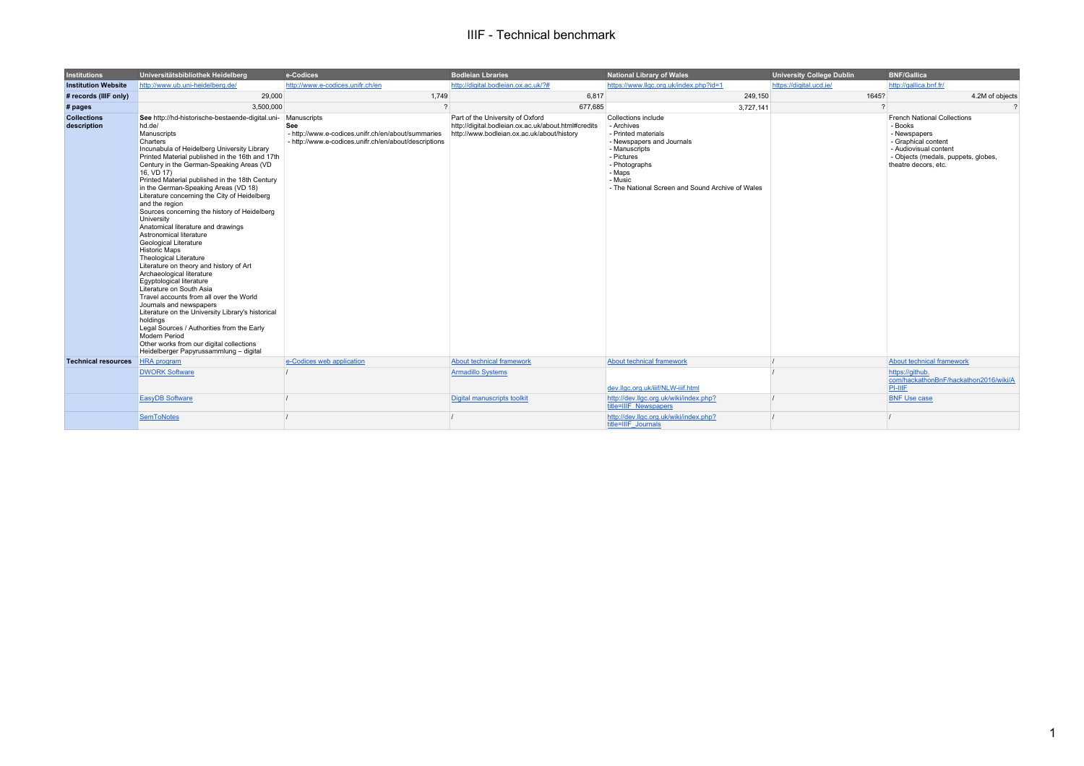## IIIF - Technical benchmark

| <b>Institutions</b>               | Universitätsbibliothek Heidelberg                                                                                                                                                                                                                                                                                                                                                                                                                                                                                                                                                                                                                                                                                                                                                                                                                                                                                                                                                                                                                          | e-Codices                                                                                                                         | <b>Bodleian Lbraries</b>                                                                                                              | <b>National Library of Wales</b>                                                                                                                                                                               | <b>University College Dublin</b> | <b>BNF/Gallica</b>                                                                                                                                                           |
|-----------------------------------|------------------------------------------------------------------------------------------------------------------------------------------------------------------------------------------------------------------------------------------------------------------------------------------------------------------------------------------------------------------------------------------------------------------------------------------------------------------------------------------------------------------------------------------------------------------------------------------------------------------------------------------------------------------------------------------------------------------------------------------------------------------------------------------------------------------------------------------------------------------------------------------------------------------------------------------------------------------------------------------------------------------------------------------------------------|-----------------------------------------------------------------------------------------------------------------------------------|---------------------------------------------------------------------------------------------------------------------------------------|----------------------------------------------------------------------------------------------------------------------------------------------------------------------------------------------------------------|----------------------------------|------------------------------------------------------------------------------------------------------------------------------------------------------------------------------|
| <b>Institution Website</b>        | http://www.ub.uni-heidelberg.de/                                                                                                                                                                                                                                                                                                                                                                                                                                                                                                                                                                                                                                                                                                                                                                                                                                                                                                                                                                                                                           | http://www.e-codices.unifr.ch/en                                                                                                  | http://digital.bodleian.ox.ac.uk/?#                                                                                                   | https://www.llgc.org.uk/index.php?id=1                                                                                                                                                                         | https://digital.ucd.ie/          | http://gallica.bnf.fr/                                                                                                                                                       |
| # records (IIIF only)             | 29,000                                                                                                                                                                                                                                                                                                                                                                                                                                                                                                                                                                                                                                                                                                                                                                                                                                                                                                                                                                                                                                                     | 1.749                                                                                                                             | 6,817                                                                                                                                 | 249,150                                                                                                                                                                                                        | 1645?                            | 4.2M of objects                                                                                                                                                              |
| # pages                           | 3.500.000                                                                                                                                                                                                                                                                                                                                                                                                                                                                                                                                                                                                                                                                                                                                                                                                                                                                                                                                                                                                                                                  |                                                                                                                                   | 677,685                                                                                                                               | 3,727,141                                                                                                                                                                                                      |                                  | $\mathcal{P}$                                                                                                                                                                |
| <b>Collections</b><br>description | See http://hd-historische-bestaende-digital.uni-<br>hd.de/<br>Manuscripts<br>Charters<br>Incunabula of Heidelberg University Library<br>Printed Material published in the 16th and 17th<br>Century in the German-Speaking Areas (VD<br>16, VD 17)<br>Printed Material published in the 18th Century<br>in the German-Speaking Areas (VD 18)<br>Literature concerning the City of Heidelberg<br>and the region<br>Sources concerning the history of Heidelberg<br>University<br>Anatomical literature and drawings<br>Astronomical literature<br>Geological Literature<br><b>Historic Maps</b><br><b>Theological Literature</b><br>Literature on theory and history of Art<br>Archaeological literature<br>Egyptological literature<br>Literature on South Asia<br>Travel accounts from all over the World<br>Journals and newspapers<br>Literature on the University Library's historical<br>holdinas<br>Legal Sources / Authorities from the Early<br>Modern Period<br>Other works from our digital collections<br>Heidelberger Papyrussammlung - digital | Manuscripts<br>See<br>- http://www.e-codices.unifr.ch/en/about/summaries<br>- http://www.e-codices.unifr.ch/en/about/descriptions | Part of the University of Oxford<br>http://digital.bodleian.ox.ac.uk/about.html#credits<br>http://www.bodleian.ox.ac.uk/about/history | Collections include<br>- Archives<br>- Printed materials<br>- Newspapers and Journals<br>- Manuscripts<br>- Pictures<br>- Photographs<br>- Maps<br>- Music<br>- The National Screen and Sound Archive of Wales |                                  | <b>French National Collections</b><br>- Books<br>- Newspapers<br>- Graphical content<br>- Audiovisual content<br>- Objects (medals, puppets, globes,<br>theatre decors, etc. |
| <b>Technical resources</b>        | <b>HRA</b> program                                                                                                                                                                                                                                                                                                                                                                                                                                                                                                                                                                                                                                                                                                                                                                                                                                                                                                                                                                                                                                         | e-Codices web application                                                                                                         | About technical framework                                                                                                             | About technical framework                                                                                                                                                                                      |                                  | About technical framework                                                                                                                                                    |
|                                   | <b>DWORK Software</b>                                                                                                                                                                                                                                                                                                                                                                                                                                                                                                                                                                                                                                                                                                                                                                                                                                                                                                                                                                                                                                      |                                                                                                                                   | <b>Armadillo Systems</b>                                                                                                              | dev.llac.org.uk/iiif/NLW-iiif.html                                                                                                                                                                             |                                  | https://aithub.<br>com/hackathonBnF/hackathon2016/wiki/A<br>PI-IIIF                                                                                                          |
|                                   | <b>EasyDB Software</b>                                                                                                                                                                                                                                                                                                                                                                                                                                                                                                                                                                                                                                                                                                                                                                                                                                                                                                                                                                                                                                     |                                                                                                                                   | Digital manuscripts toolkit                                                                                                           | http://dev.llgc.org.uk/wiki/index.php?<br>title=IIIF Newspapers                                                                                                                                                |                                  | <b>BNF Use case</b>                                                                                                                                                          |
|                                   | <b>SemToNotes</b>                                                                                                                                                                                                                                                                                                                                                                                                                                                                                                                                                                                                                                                                                                                                                                                                                                                                                                                                                                                                                                          |                                                                                                                                   |                                                                                                                                       | http://dev.llgc.org.uk/wiki/index.php?<br>title=IIIF Journals                                                                                                                                                  |                                  |                                                                                                                                                                              |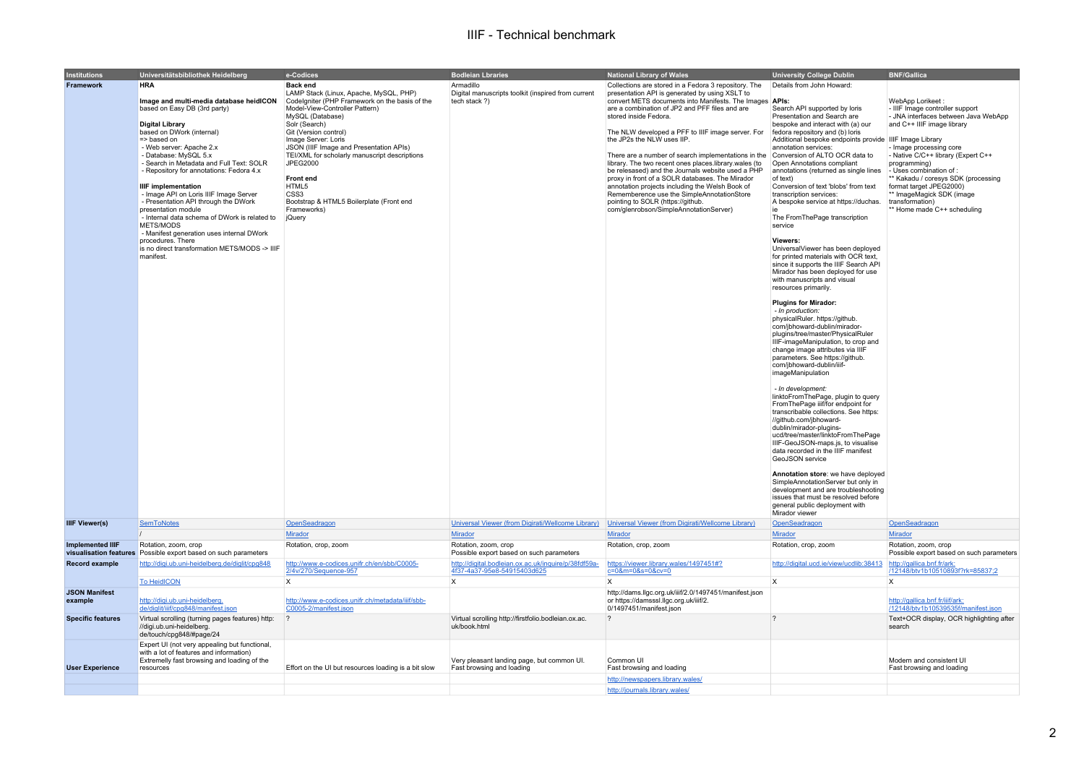## IIIF - Technical benchmark

| <b>Institutions</b><br>Framework | Universitätsbibliothek Heidelberg<br><b>HRA</b><br>Image and multi-media database heidICON<br>based on Easy DB (3rd party)<br><b>Digital Library</b><br>based on DWork (internal)<br>$\Rightarrow$ based on<br>- Web server: Apache 2.x<br>- Database: MySQL 5.x<br>- Search in Metadata and Full Text: SOLR<br>- Repository for annotations: Fedora 4.x<br><b>IIIF</b> implementation<br>- Image API on Loris IIIF Image Server<br>- Presentation API through the DWork<br>presentation module<br>- Internal data schema of DWork is related to<br>METS/MODS<br>- Manifest generation uses internal DWork<br>procedures. There<br>is no direct transformation METS/MODS -> IIIF<br>manifest. | e-Codices<br><b>Back end</b><br>LAMP Stack (Linux, Apache, MySQL, PHP)<br>Codelgniter (PHP Framework on the basis of the<br>Model-View-Controller Pattern)<br>MySQL (Database)<br>Solr (Search)<br>Git (Version control)<br>Image Server: Loris<br>JSON (IIIF Image and Presentation APIs)<br>TEI/XML for scholarly manuscript descriptions<br>JPEG2000<br><b>Front end</b><br>HTML5<br>CSS <sub>3</sub><br>Bootstrap & HTML5 Boilerplate (Front end<br>Frameworks)<br>jQuery | <b>Bodleian Lbraries</b><br>Armadillo<br>Digital manuscripts toolkit (inspired from current<br>tech stack ?) | <b>National Library of Wales</b><br>Collections are stored in a Fedora 3 repository. The<br>presentation API is generated by using XSLT to<br>convert METS documents into Manifests. The Images   APIs:<br>are a combination of JP2 and PFF files and are<br>stored inside Fedora.<br>The NLW developed a PFF to IIIF image server. For<br>the JP2s the NLW uses IIP.<br>There are a number of search implementations in the Conversion of ALTO OCR data to<br>library. The two recent ones places.library.wales (to<br>be relesased) and the Journals website used a PHP<br>proxy in front of a SOLR databases. The Mirador<br>annotation projects including the Welsh Book of<br>Rememberence use the SimpleAnnotationStore<br>pointing to SOLR (https://github.<br>com/glenrobson/SimpleAnnotationServer) | <b>University College Dublin</b><br>Details from John Howard:<br>Search API supported by loris<br>Presentation and Search are<br>bespoke and interact with (a) our<br>fedora repository and (b) loris<br>Additional bespoke endpoints provide IIIF Image Library<br>annotation services:<br>Open Annotations compliant<br>annotations (returned as single lines<br>of text)<br>Conversion of text 'blobs' from text<br>transcription services:<br>A bespoke service at https://duchas.<br>The FromThePage transcription<br>service<br>Viewers:<br>UniversalViewer has been deploved<br>for printed materials with OCR text,<br>since it supports the IIIF Search API<br>Mirador has been deployed for use<br>with manuscripts and visual<br>resources primarily.<br><b>Plugins for Mirador:</b><br>- In production:<br>physicalRuler. https://github.<br>com/ibhoward-dublin/mirador-<br>plugins/tree/master/PhysicalRuler<br>IIIF-imageManipulation, to crop and<br>change image attributes via IIIF<br>parameters. See https://github.<br>com/jbhoward-dublin/iiif-<br>imageManipulation<br>- In development:<br>linktoFromThePage, plugin to query<br>FromThePage iiif/for endpoint for<br>transcribable collections. See https:<br>//github.com/jbhoward-<br>dublin/mirador-plugins-<br>ucd/tree/master/linktoFromThePage<br>IIIF-GeoJSON-maps.js, to visualise<br>data recorded in the IIIF manifest<br>GeoJSON service<br>Annotation store: we have deployed<br>SimpleAnnotationServer but only in<br>development and are troubleshooting | <b>BNF/Gallica</b><br>WebApp Lorikeet:<br>- IIIF Image controller support<br>- JNA interfaces between Java WebApp<br>and C++ IIIF image library<br>- Image processing core<br>- Native C/C++ library (Expert C++<br>programming)<br>- Uses combination of :<br>** Kakadu / coresys SDK (processing<br>format target JPEG2000)<br>** ImageMagick SDK (image<br>transformation)<br>** Home made C++ scheduling |
|----------------------------------|-----------------------------------------------------------------------------------------------------------------------------------------------------------------------------------------------------------------------------------------------------------------------------------------------------------------------------------------------------------------------------------------------------------------------------------------------------------------------------------------------------------------------------------------------------------------------------------------------------------------------------------------------------------------------------------------------|-------------------------------------------------------------------------------------------------------------------------------------------------------------------------------------------------------------------------------------------------------------------------------------------------------------------------------------------------------------------------------------------------------------------------------------------------------------------------------|--------------------------------------------------------------------------------------------------------------|--------------------------------------------------------------------------------------------------------------------------------------------------------------------------------------------------------------------------------------------------------------------------------------------------------------------------------------------------------------------------------------------------------------------------------------------------------------------------------------------------------------------------------------------------------------------------------------------------------------------------------------------------------------------------------------------------------------------------------------------------------------------------------------------------------------|-------------------------------------------------------------------------------------------------------------------------------------------------------------------------------------------------------------------------------------------------------------------------------------------------------------------------------------------------------------------------------------------------------------------------------------------------------------------------------------------------------------------------------------------------------------------------------------------------------------------------------------------------------------------------------------------------------------------------------------------------------------------------------------------------------------------------------------------------------------------------------------------------------------------------------------------------------------------------------------------------------------------------------------------------------------------------------------------------------------------------------------------------------------------------------------------------------------------------------------------------------------------------------------------------------------------------------------------------------------------------------------------------------------------------------------------------------------------------------------------------------------------------------------------------|--------------------------------------------------------------------------------------------------------------------------------------------------------------------------------------------------------------------------------------------------------------------------------------------------------------------------------------------------------------------------------------------------------------|
|                                  |                                                                                                                                                                                                                                                                                                                                                                                                                                                                                                                                                                                                                                                                                               |                                                                                                                                                                                                                                                                                                                                                                                                                                                                               |                                                                                                              |                                                                                                                                                                                                                                                                                                                                                                                                                                                                                                                                                                                                                                                                                                                                                                                                              | issues that must be resolved before<br>general public deployment with<br>Mirador viewer                                                                                                                                                                                                                                                                                                                                                                                                                                                                                                                                                                                                                                                                                                                                                                                                                                                                                                                                                                                                                                                                                                                                                                                                                                                                                                                                                                                                                                                         |                                                                                                                                                                                                                                                                                                                                                                                                              |
| <b>IIIF Viewer(s)</b>            | <b>SemToNotes</b>                                                                                                                                                                                                                                                                                                                                                                                                                                                                                                                                                                                                                                                                             | OpenSeadragon                                                                                                                                                                                                                                                                                                                                                                                                                                                                 | Universal Viewer (from Digirati/Wellcome Library)                                                            | Universal Viewer (from Digirati/Wellcome Library)                                                                                                                                                                                                                                                                                                                                                                                                                                                                                                                                                                                                                                                                                                                                                            | OpenSeadragon                                                                                                                                                                                                                                                                                                                                                                                                                                                                                                                                                                                                                                                                                                                                                                                                                                                                                                                                                                                                                                                                                                                                                                                                                                                                                                                                                                                                                                                                                                                                   | OpenSeadragon                                                                                                                                                                                                                                                                                                                                                                                                |
|                                  |                                                                                                                                                                                                                                                                                                                                                                                                                                                                                                                                                                                                                                                                                               | Mirador                                                                                                                                                                                                                                                                                                                                                                                                                                                                       | Mirador                                                                                                      | <b>Mirador</b>                                                                                                                                                                                                                                                                                                                                                                                                                                                                                                                                                                                                                                                                                                                                                                                               | <b>Mirador</b>                                                                                                                                                                                                                                                                                                                                                                                                                                                                                                                                                                                                                                                                                                                                                                                                                                                                                                                                                                                                                                                                                                                                                                                                                                                                                                                                                                                                                                                                                                                                  | Mirador                                                                                                                                                                                                                                                                                                                                                                                                      |
| <b>Implemented IIIF</b>          | Rotation, zoom, crop<br>visualisation features Possible export based on such parameters                                                                                                                                                                                                                                                                                                                                                                                                                                                                                                                                                                                                       | Rotation, crop, zoom                                                                                                                                                                                                                                                                                                                                                                                                                                                          | Rotation, zoom, crop<br>Possible export based on such parameters                                             | Rotation, crop, zoom                                                                                                                                                                                                                                                                                                                                                                                                                                                                                                                                                                                                                                                                                                                                                                                         | Rotation, crop, zoom                                                                                                                                                                                                                                                                                                                                                                                                                                                                                                                                                                                                                                                                                                                                                                                                                                                                                                                                                                                                                                                                                                                                                                                                                                                                                                                                                                                                                                                                                                                            | Rotation, zoom, crop<br>Possible export based on such parameters                                                                                                                                                                                                                                                                                                                                             |
| Record example                   | http://digi.ub.uni-heidelberg.de/diglit/cpg848                                                                                                                                                                                                                                                                                                                                                                                                                                                                                                                                                                                                                                                | http://www.e-codices.unifr.ch/en/sbb/C0005-<br>2/4v/270/Sequence-957                                                                                                                                                                                                                                                                                                                                                                                                          | http://digital.bodleian.ox.ac.uk/inquire/p/38fdf59a-<br>4f37-4a37-95e8-54915403d625                          | https://viewer.library.wales/1497451#?<br>c=0&m=0&s=0&cv=0                                                                                                                                                                                                                                                                                                                                                                                                                                                                                                                                                                                                                                                                                                                                                   | http://digital.ucd.ie/view/ucdlib:38413                                                                                                                                                                                                                                                                                                                                                                                                                                                                                                                                                                                                                                                                                                                                                                                                                                                                                                                                                                                                                                                                                                                                                                                                                                                                                                                                                                                                                                                                                                         | http://gallica.bnf.fr/ark:<br>/12148/btv1b10510893f?rk=85837;2                                                                                                                                                                                                                                                                                                                                               |
|                                  | <b>To HeidICON</b>                                                                                                                                                                                                                                                                                                                                                                                                                                                                                                                                                                                                                                                                            | X                                                                                                                                                                                                                                                                                                                                                                                                                                                                             | $\mathsf{X}$                                                                                                 | $\boldsymbol{\mathsf{X}}$                                                                                                                                                                                                                                                                                                                                                                                                                                                                                                                                                                                                                                                                                                                                                                                    | X                                                                                                                                                                                                                                                                                                                                                                                                                                                                                                                                                                                                                                                                                                                                                                                                                                                                                                                                                                                                                                                                                                                                                                                                                                                                                                                                                                                                                                                                                                                                               | $\boldsymbol{\mathsf{x}}$                                                                                                                                                                                                                                                                                                                                                                                    |
| <b>JSON Manifest</b><br>example  | http://digi.ub.uni-heidelberg.<br>de/diglit/iiif/cpg848/manifest.json                                                                                                                                                                                                                                                                                                                                                                                                                                                                                                                                                                                                                         | http://www.e-codices.unifr.ch/metadata/iiif/sbb-<br>C0005-2/manifest.json                                                                                                                                                                                                                                                                                                                                                                                                     |                                                                                                              | http://dams.llgc.org.uk/iiif/2.0/1497451/manifest.json<br>or https://damsssl.llgc.org.uk/iiif/2.<br>0/1497451/manifest.json                                                                                                                                                                                                                                                                                                                                                                                                                                                                                                                                                                                                                                                                                  |                                                                                                                                                                                                                                                                                                                                                                                                                                                                                                                                                                                                                                                                                                                                                                                                                                                                                                                                                                                                                                                                                                                                                                                                                                                                                                                                                                                                                                                                                                                                                 | http://gallica.bnf.fr/iiif/ark:<br>/12148/btv1b10539535f/manifest.json                                                                                                                                                                                                                                                                                                                                       |
| <b>Specific features</b>         | Virtual scrolling (turning pages features) http:<br>//digi.ub.uni-heidelberg.<br>de/touch/cpg848/#page/24                                                                                                                                                                                                                                                                                                                                                                                                                                                                                                                                                                                     | $\overline{\phantom{a}}$                                                                                                                                                                                                                                                                                                                                                                                                                                                      | Virtual scrolling http://firstfolio.bodleian.ox.ac.<br>uk/book.html                                          | $\overline{\phantom{a}}$                                                                                                                                                                                                                                                                                                                                                                                                                                                                                                                                                                                                                                                                                                                                                                                     | $\overline{\phantom{a}}$                                                                                                                                                                                                                                                                                                                                                                                                                                                                                                                                                                                                                                                                                                                                                                                                                                                                                                                                                                                                                                                                                                                                                                                                                                                                                                                                                                                                                                                                                                                        | Text+OCR display, OCR highlighting after<br>search                                                                                                                                                                                                                                                                                                                                                           |
| <b>User Experience</b>           | Expert UI (not very appealing but functional,<br>with a lot of features and information)<br>Extremelly fast browsing and loading of the<br>resources                                                                                                                                                                                                                                                                                                                                                                                                                                                                                                                                          | Effort on the UI but resources loading is a bit slow                                                                                                                                                                                                                                                                                                                                                                                                                          | Very pleasant landing page, but common UI.<br>Fast browsing and loading                                      | Common UI<br>Fast browsing and loading<br>http://newspapers.library.wales/                                                                                                                                                                                                                                                                                                                                                                                                                                                                                                                                                                                                                                                                                                                                   |                                                                                                                                                                                                                                                                                                                                                                                                                                                                                                                                                                                                                                                                                                                                                                                                                                                                                                                                                                                                                                                                                                                                                                                                                                                                                                                                                                                                                                                                                                                                                 | Modern and consistent UI<br>Fast browsing and loading                                                                                                                                                                                                                                                                                                                                                        |
|                                  |                                                                                                                                                                                                                                                                                                                                                                                                                                                                                                                                                                                                                                                                                               |                                                                                                                                                                                                                                                                                                                                                                                                                                                                               |                                                                                                              | http://journals.library.wales/                                                                                                                                                                                                                                                                                                                                                                                                                                                                                                                                                                                                                                                                                                                                                                               |                                                                                                                                                                                                                                                                                                                                                                                                                                                                                                                                                                                                                                                                                                                                                                                                                                                                                                                                                                                                                                                                                                                                                                                                                                                                                                                                                                                                                                                                                                                                                 |                                                                                                                                                                                                                                                                                                                                                                                                              |